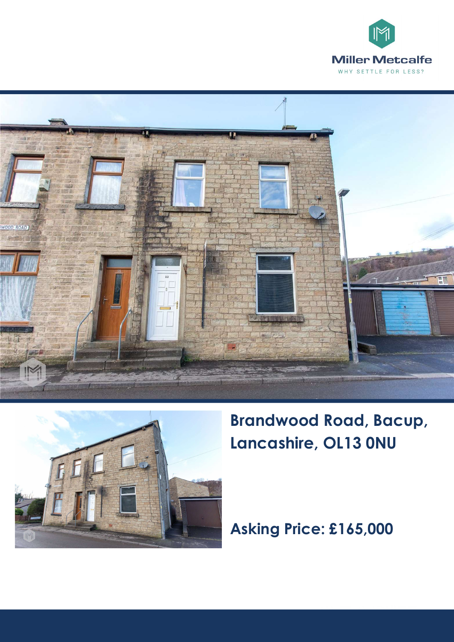





**Brandwood Road, Bacup, Lancashire, OL13 0NU** 

**Asking Price: £165,000**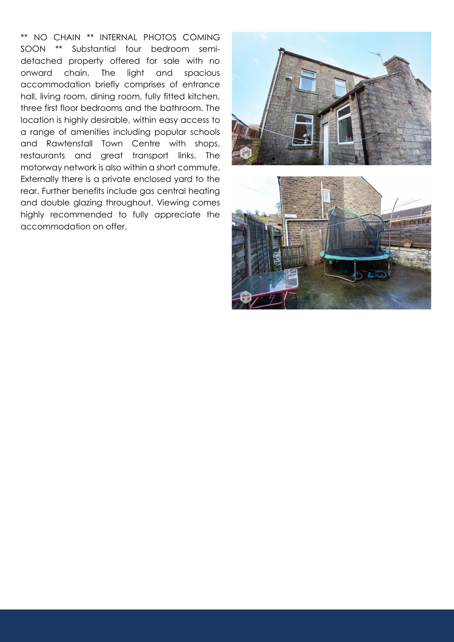\*\* NO CHAIN \*\* INTERNAL PHOTOS COMING SOON \*\* Substantial four bedroom semidetached property offered for sale with no onward chain. The light and spacious accommodation briefly comprises of entrance hall, living room, dining room, fully fitted kitchen, three first floor bedrooms and the bathroom. The location is highly desirable, within easy access to <sup>a</sup> range of amenities including popular schools and Rawtenstall Town Centre with shops, restaurants and great transport links. The motorway network is also within <sup>a</sup> short commute. Externally there is <sup>a</sup> private enclosed yard to the rear. Further benefits include gas central heating and double glazing throughout. Viewing comes highly recommended to fully appreciate the accommodation on offer.